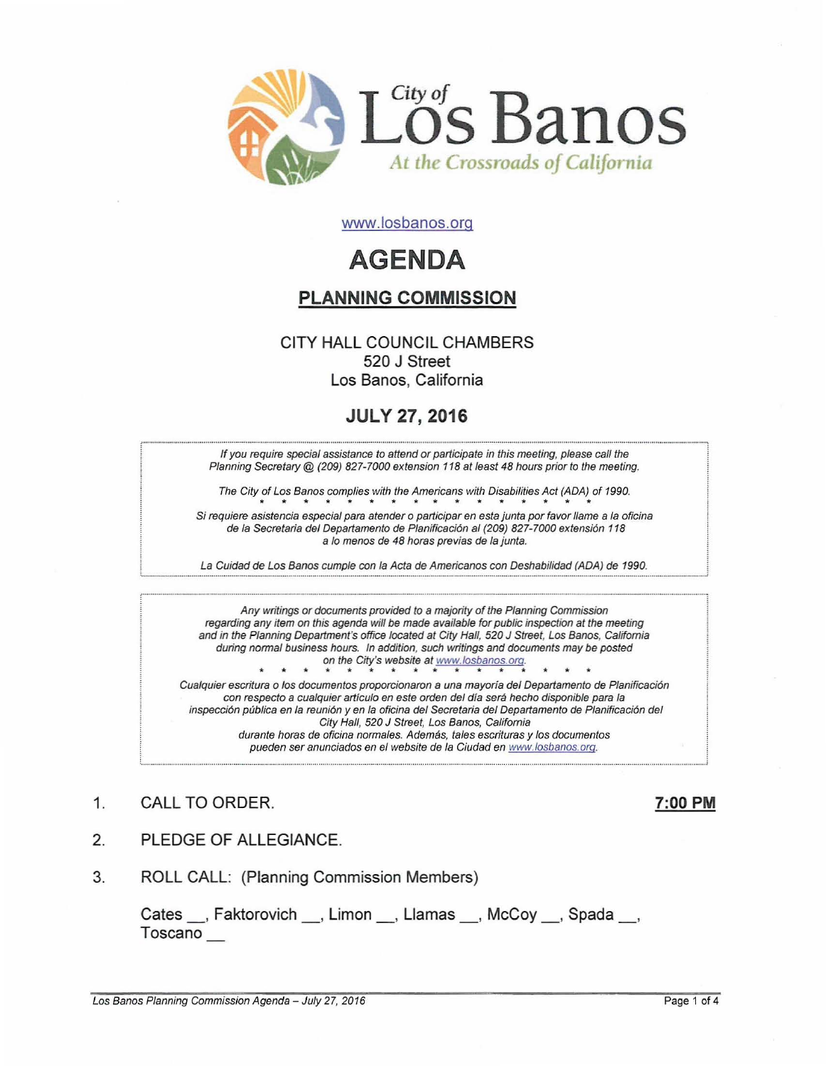

www.losbanos.org

# **AGENDA**

# PLANNING COMMISSION

## CITY HALL COUNCIL CHAMBERS 520 J Street Los Banos, California

## JULY 27,2016

If you require special assistance to attend or participate in this meeting, please call the Planning Secretary @ (209) 827-7000 extension 118 at least 48 hours prior to the meeting.

The City of Los Banos complies with the Americans with Disabilities Act (ADA) of 1990.

Si requiere asistencia especial para atender o participar en esta junta por favor llame a la oficina de la Secretaria del Departamento de Planificación al (209) 827-7000 extensión 118 a /0 menos de 48 horas previas de /a junta.

La Cuidad de Los Banos cumple con 18 Acta de Americanos con Deshabilidad (ADA) de 1990.

Any writings or documents provided to a majority of the Planning Commission regarding any item on this agenda will be made available for public inspection at the meeting and in the Planning Department's office located at City Hall, 520 J Street, Los Banos, California during normal business hours. In addition, such writings and documents may be posted on the City's website at www.losbanos.org. \*\*\*\*\*\*\*\*\*\*

Cualquier escritura 0 los documentos proporcionaron a una mayoria del Departamento de Planificaci6n con respecto a cualquier artículo en este orden del día será hecho disponible para la inspección pública en la reunión y en la oficina del Secretaria del Departamento de Planificación del City Hall, 520 J Street, Los Banos, California durante horas de oficina normales. Además, tales escrituras y los documentos pueden ser anunciados en el website de la Ciudad en www.losbanos.org.

## 1. CALL TO ORDER. 200 PM

- 2. PLEDGE OF ALLEGIANCE.
- 3. ROLL CALL: (Planning Commission Members)

Cates \_\_, Faktorovich \_\_, Limon \_\_, Llamas \_\_, McCoy \_\_, Spada \_\_ Toscano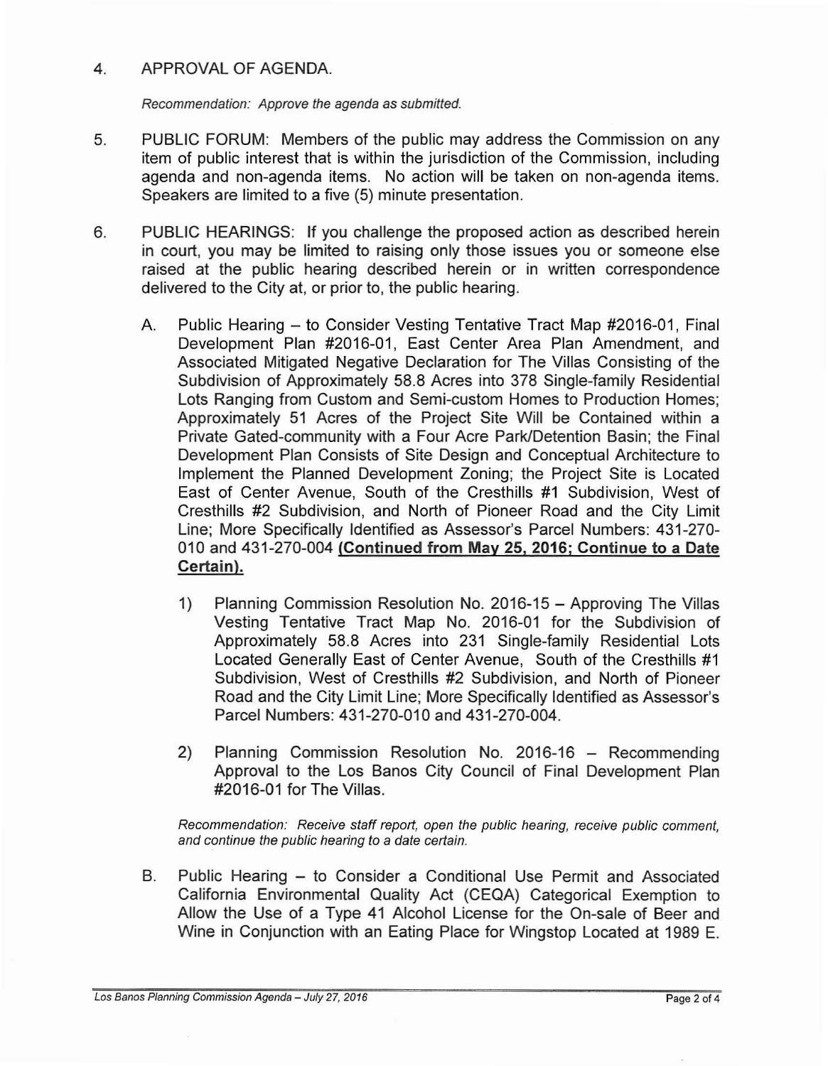## 4. APPROVAL OF AGENDA.

Recommendation: Approve the agenda as submitted.

- 5. PUBLIC FORUM: Members of the public may address the Commission on any item of public interest that is within the jurisdiction of the Commission, including agenda and non-agenda items. No action will be taken on non-agenda items. Speakers are limited to a five (5) minute presentation.
- 6. PUBLIC HEARINGS: If you challenge the proposed action as described herein in court, you may be limited to raising only those issues you or someone else raised at the public hearing described herein or in written correspondence delivered to the City at, or prior to, the public hearing.
	- A. Public Hearing to Consider Vesting Tentative Tract Map #2016-01, Final Development Plan #2016-01, East Center Area Plan Amendment, and Associated Mitigated Negative Declaration for The Villas Consisting of the Subdivision of Approximately 58.8 Acres into 378 Single-family Residential Lots Ranging from Custom and Semi-custom Homes to Production Homes; Approximately 51 Acres of the Project Site Will be Contained within a Private Gated-community with a Four Acre Park/Detention Basin; the Final Development Plan Consists of Site Design and Conceptual Architecture to Implement the Planned Development Zoning; the Project Site is Located East of Center Avenue, South of the Cresthills #1 Subdivision, West of Cresthills #2 Subdivision, and North of Pioneer Road and the City Limit Line; More Specifically Identified as Assessor's Parcel Numbers: 431-270- 010 and 431-270-004 **(Continued from May 25, 2016; Continue to a Date** Certain).
		- 1) Planning Commission Resolution No. 2016-15 Approving The Villas Vesting Tentative Tract Map No. 2016-01 for the Subdivision of Approximately 58.8 Acres into 231 Single-family Residential Lots Located Generally East of Center Avenue, South of the Cresthills #1 Subdivision, West of Cresthills #2 Subdivision, and North of Pioneer Road and the City Limit Line; More Specifically Identified as Assessor's Parcel Numbers: 431-270-010 and 431-270-004.
		- 2) Planning Commission Resolution No. 2016-16 Recommending Approval to the Los Banos City Council of Final Development Plan #2016-01 for The Villas.

Recommendation: Receive staff report, open the public hearing, receive public comment, and continue the public hearing to a date certain.

B. Public Hearing - to Consider a Conditional Use Permit and Associated California Environmental Quality Act (CEQA) Categorical Exemption to Allow the Use of a Type 41 Alcohol License for the On-sale of Beer and Wine in Conjunction with an Eating Place for Wingstop Located at 1989 E.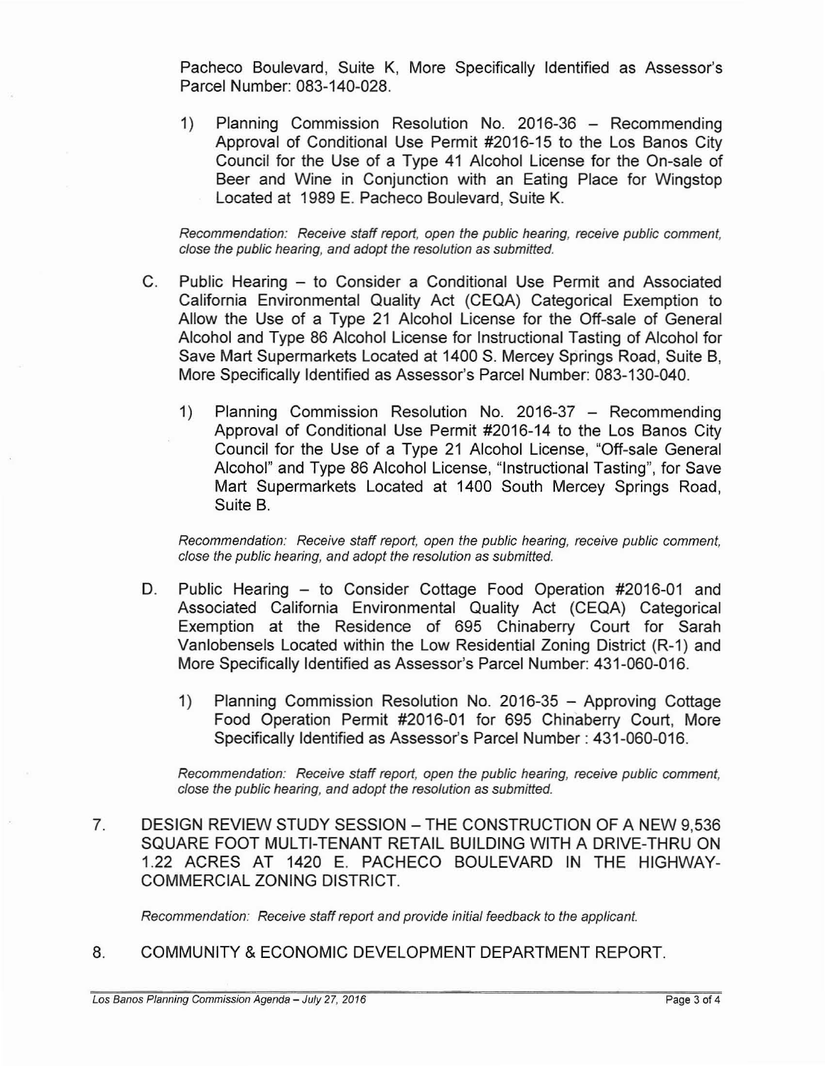Pacheco Boulevard, Suite K, More Specifically Identified as Assessor's Parcel Number: 083-140-028.

1) Planning Commission Resolution No. 2016-36 - Recommending Approval of Conditional Use Permit #2016-15 to the Los Banos City Council for the Use of a Type 41 Alcohol License for the On-sale of Beer and Wine in Conjunction with an Eating Place for Wingstop Located at 1989 E. Pacheco Boulevard, Suite K.

Recommendation: Receive staff report, open the public hearing, receive public comment, close the public hearing, and adopt the resolution as submitted.

- C. Public Hearing to Consider a Conditional Use Permit and Associated California Environmental Quality Act (CEQA) Categorical Exemption to Allow the Use of a Type 21 Alcohol License for the Off-sale of General Alcohol and Type 86 Alcohol License for Instructional Tasting of Alcohol for Save Mart Supermarkets Located at 1400 S. Mercey Springs Road, Suite B, More Specifically Identified as Assessor's Parcel Number: 083-130-040.
	- 1) Planning Commission Resolution No. 2016-37 Recommending Approval of Conditional Use Permit #2016-14 to the Los Banos City Council for the Use of a Type 21 Alcohol License, "Off-sale General Alcohol" and Type 86 Alcohol License, "Instructional Tasting", for Save Mart Supermarkets Located at 1400 South Mercey Springs Road, Suite B.

Recommendation: Receive staff report, open the public hearing, receive public comment, close the public hearing, and adopt the resolution as submitted.

- D. Public Hearing to Consider Cottage Food Operation #2016-01 and Associated California Environmental Quality Act (CEQA) Categorical Exemption at the Residence of 695 Chinaberry Court for Sarah Vanlobensels Located within the Low Residential Zoning District (R-1) and More Specifically Identified as Assessor's Parcel Number: 431-060-016.
	- 1) Planning Commission Resolution No. 2016-35 Approving Cottage Food Operation Permit #2016-01 for 695 Chinaberry Court, More Specifically Identified as Assessor's Parcel Number: 431-060-016.

Recommendation: Receive staff report, open the public hearing, receive public comment, close the public hearing, and adopt the resolution as submitted.

7. DESIGN REVIEW STUDY SESSION – THE CONSTRUCTION OF A NEW 9,536 SQUARE FOOT MULTI-TENANT RETAIL BUILDING WITH A DRIVE-THRU ON 1.22 ACRES AT 1420 E. PACHECO BOULEVARD IN THE HIGHWAY-COMMERCIAL ZONING DISTRICT.

Recommendation: Receive staffreport and provide initial feedback to the applicant.

8. COMMUNITY & ECONOMIC DEVELOPMENT DEPARTMENT REPORT.